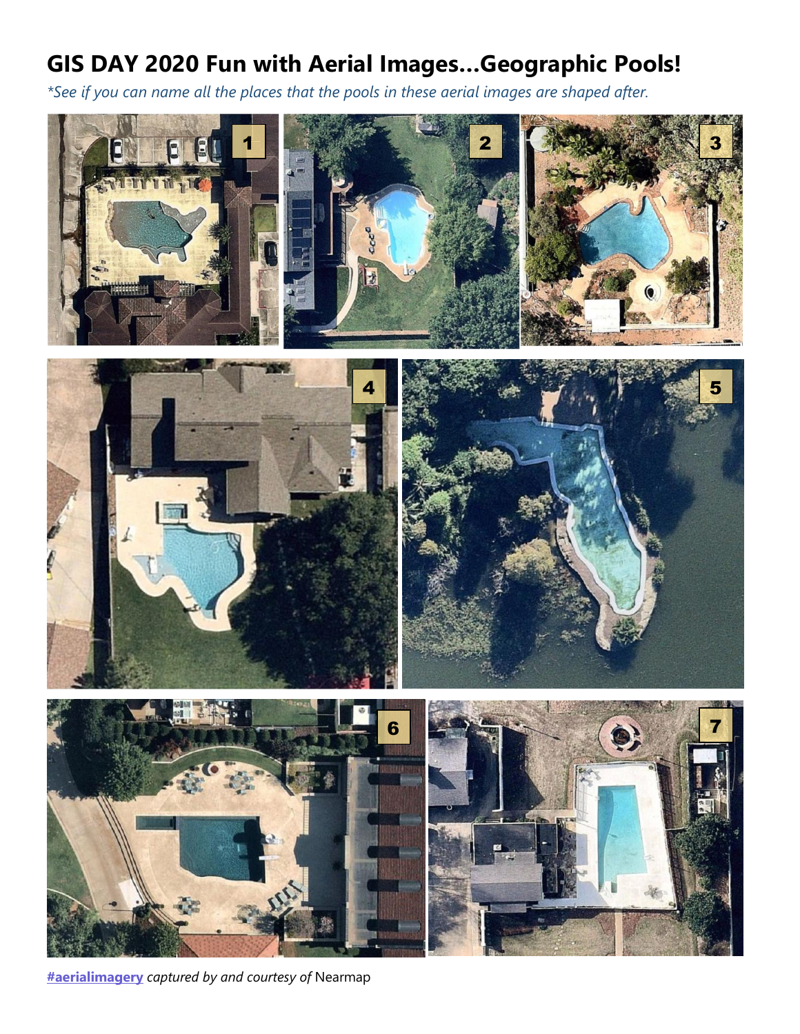## **GIS DAY 2020 Fun with Aerial Images…Geographic Pools!**

*\*See if you can name all the places that the pools in these aerial images are shaped after.*



**[#aerialimagery](https://www.linkedin.com/feed/hashtag/?keywords=aerialimagery&highlightedUpdateUrns=urn%3Ali%3Aactivity%3A6709440907944439808)** *captured by and courtesy of* Nearmap